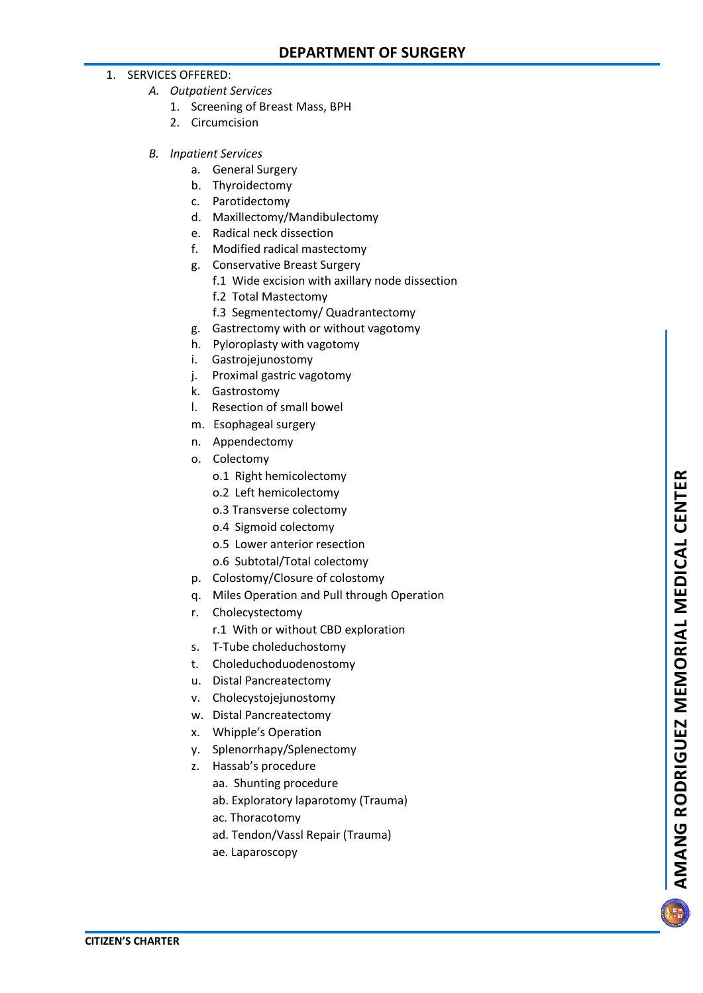## 1. SERVICES OFFERED:

- *A. Outpatient Services*
	- 1. Screening of Breast Mass, BPH
	- 2. Circumcision
- *B. Inpatient Services*
	- a. General Surgery
	- b. Thyroidectomy
	- c. Parotidectomy
	- d. Maxillectomy/Mandibulectomy
	- e. Radical neck dissection
	- f. Modified radical mastectomy
	- g. Conservative Breast Surgery
		- f.1 Wide excision with axillary node dissection
		- f.2 Total Mastectomy
		- f.3 Segmentectomy/ Quadrantectomy
	- g. Gastrectomy with or without vagotomy
	- h. Pyloroplasty with vagotomy
	- i. Gastrojejunostomy
	- j. Proximal gastric vagotomy
	- k. Gastrostomy
	- l. Resection of small bowel
	- m. Esophageal surgery
	- n. Appendectomy
	- o. Colectomy
		- o.1 Right hemicolectomy
		- o.2 Left hemicolectomy
		- o.3 Transverse colectomy
		- o.4 Sigmoid colectomy
		- o.5 Lower anterior resection
		- o.6 Subtotal/Total colectomy
	- p. Colostomy/Closure of colostomy
	- q. Miles Operation and Pull through Operation
	- r. Cholecystectomy
		- r.1 With or without CBD exploration
	- s. T -Tube choleduchostomy
	- t. Choleduchoduodenostomy
	- u. Distal Pancreatectomy
	- v. Cholecystojejunostomy
	- w. Distal Pancreatectomy
	- x. Whipple's Operation
	- y. Splenorrhapy/Splenectomy
	- z. Hassab's procedure
		- aa. Shunting procedure
		- ab. Exploratory laparotomy (Trauma)
		- ac. Thoracotomy
		- ad. Tendon/Vassl Repair (Trauma)
		- ae. Laparoscopy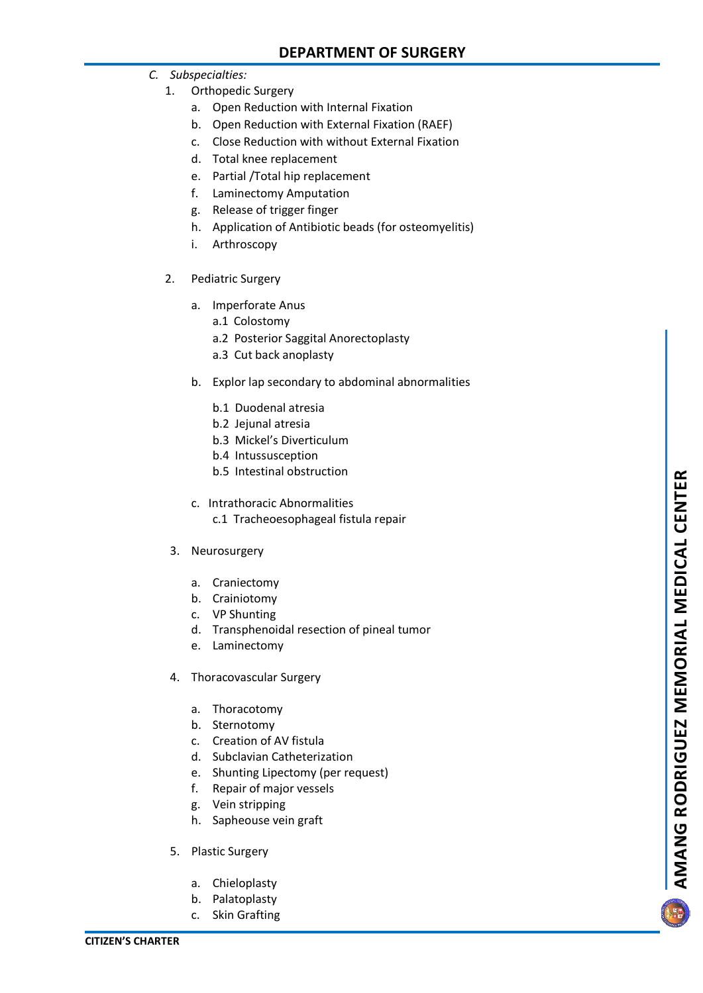- *C. Subspecialties:*
	- 1. Orthopedic Surgery
		- a. Open Reduction with Internal Fixation
		- b. Open Reduction with External Fixation (RAEF)
		- c. Close Reduction with without External Fixation
		- d. Total knee replacement
		- e. Partial /Total hip replacement
		- f. Laminectomy Amputation
		- g. Release of trigger finger
		- h. Application of Antibiotic beads (for osteomyelitis)
		- i. Arthroscopy
	- 2. Pediatric Surgery
		- a. Imperforate Anus
			- a.1 Colostomy
			- a.2 Posterior Saggital Anorectoplasty
			- a.3 Cut back anoplasty
		- b. Explor lap secondary to abdominal abnormalities
			- b.1 Duodenal atresia
			- b.2 Jejunal atresia
			- b.3 Mickel's Diverticulum
			- b.4 Intussusception
			- b.5 Intestinal obstruction
		- c. Intrathoracic Abnormalities c.1 Tracheoesophageal fistula repair
	- 3. Neurosurgery
		- a. Craniectomy
		- b. Crainiotomy
		- c. VP Shunting
		- d. Transphenoidal resection of pineal tumor
		- e. Laminectomy
	- 4. Thoracovascular Surgery
		- a. Thoracotomy
		- b. Sternotomy
		- c. Creation of AV fistula
		- d. Subclavian Catheterization
		- e. Shunting Lipectomy (per request)
		- f. Repair of major vessels
		- g. Vein stripping
		- h. Sapheouse vein graft
	- 5. Plastic Surgery
		- a. Chieloplasty
		- b. Palatoplasty
		- c. Skin Grafting